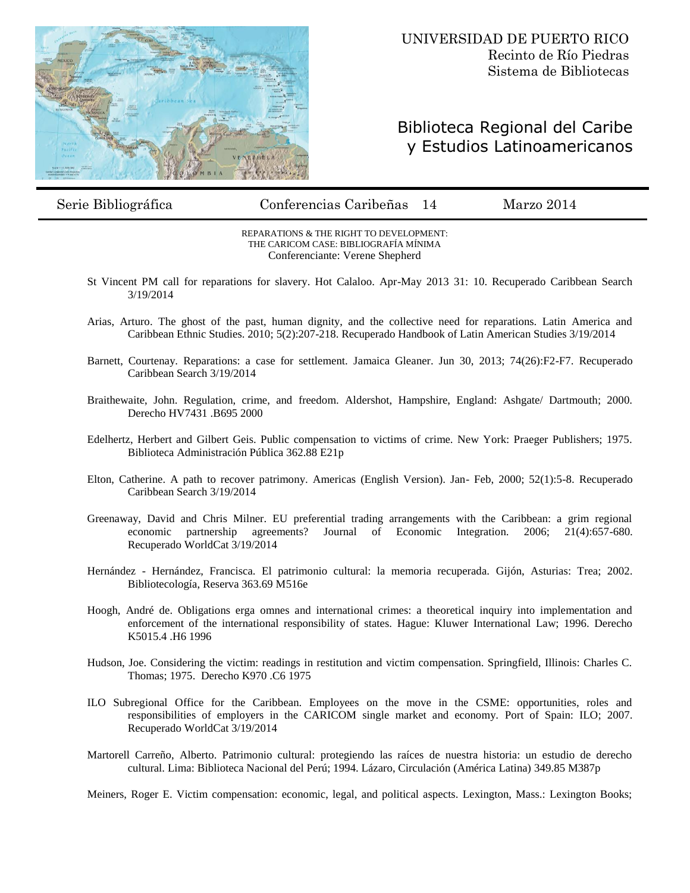

## Biblioteca Regional del Caribe y Estudios Latinoamericanos

Serie Bibliográfica Conferencias Caribeñas 14 Marzo 2014

REPARATIONS & THE RIGHT TO DEVELOPMENT: THE CARICOM CASE: BIBLIOGRAFÍA MÍNIMA Conferenciante: Verene Shepherd

- St Vincent PM call for reparations for slavery. Hot Calaloo. Apr-May 2013 31: 10. Recuperado Caribbean Search 3/19/2014
- Arias, Arturo. The ghost of the past, human dignity, and the collective need for reparations. Latin America and Caribbean Ethnic Studies. 2010; 5(2):207-218. Recuperado Handbook of Latin American Studies 3/19/2014
- Barnett, Courtenay. Reparations: a case for settlement. Jamaica Gleaner. Jun 30, 2013; 74(26):F2-F7. Recuperado Caribbean Search 3/19/2014
- Braithewaite, John. Regulation, crime, and freedom. Aldershot, Hampshire, England: Ashgate/ Dartmouth; 2000. Derecho HV7431 .B695 2000
- Edelhertz, Herbert and Gilbert Geis. Public compensation to victims of crime. New York: Praeger Publishers; 1975. Biblioteca Administración Pública 362.88 E21p
- Elton, Catherine. A path to recover patrimony. Americas (English Version). Jan- Feb, 2000; 52(1):5-8. Recuperado Caribbean Search 3/19/2014
- Greenaway, David and Chris Milner. EU preferential trading arrangements with the Caribbean: a grim regional economic partnership agreements? Journal of Economic Integration. 2006; 21(4):657-680. Recuperado WorldCat 3/19/2014
- Hernández Hernández, Francisca. El patrimonio cultural: la memoria recuperada. Gijón, Asturias: Trea; 2002. Bibliotecología, Reserva 363.69 M516e
- Hoogh, André de. Obligations erga omnes and international crimes: a theoretical inquiry into implementation and enforcement of the international responsibility of states. Hague: Kluwer International Law; 1996. Derecho K5015.4 .H6 1996
- Hudson, Joe. Considering the victim: readings in restitution and victim compensation. Springfield, Illinois: Charles C. Thomas; 1975. Derecho K970 .C6 1975
- ILO Subregional Office for the Caribbean. Employees on the move in the CSME: opportunities, roles and responsibilities of employers in the CARICOM single market and economy. Port of Spain: ILO; 2007. Recuperado WorldCat 3/19/2014
- Martorell Carreño, Alberto. Patrimonio cultural: protegiendo las raíces de nuestra historia: un estudio de derecho cultural. Lima: Biblioteca Nacional del Perú; 1994. Lázaro, Circulación (América Latina) 349.85 M387p

Meiners, Roger E. Victim compensation: economic, legal, and political aspects. Lexington, Mass.: Lexington Books;